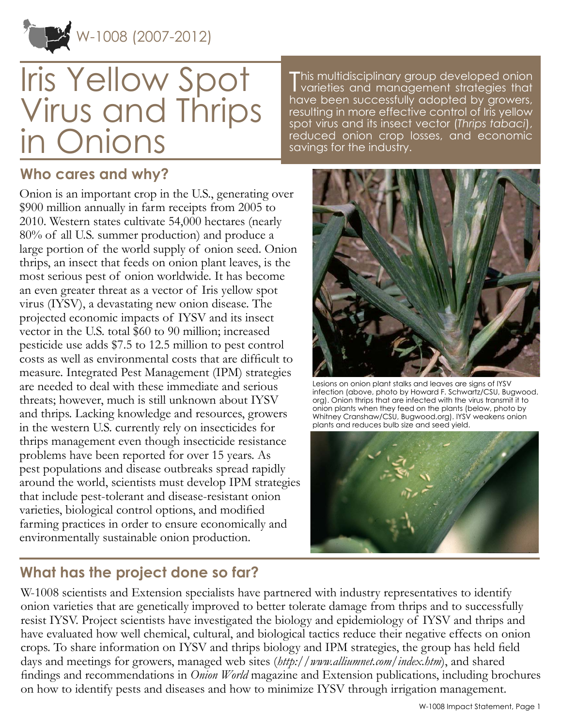

# Iris Yellow Spot Virus and Thrips in Onions

This multidisciplinary group developed onion<br>I varieties and management strategies that varieties and management strategies that have been successfully adopted by growers, resulting in more effective control of Iris yellow spot virus and its insect vector (*Thrips tabaci*), reduced onion crop losses, and economic savings for the industry.

#### **Who cares and why?**

Onion is an important crop in the U.S., generating over \$900 million annually in farm receipts from 2005 to 2010. Western states cultivate 54,000 hectares (nearly 80% of all U.S. summer production) and produce a large portion of the world supply of onion seed. Onion thrips, an insect that feeds on onion plant leaves, is the most serious pest of onion worldwide. It has become an even greater threat as a vector of Iris yellow spot virus (IYSV), a devastating new onion disease. The projected economic impacts of IYSV and its insect vector in the U.S. total \$60 to 90 million; increased pesticide use adds \$7.5 to 12.5 million to pest control costs as well as environmental costs that are difficult to measure. Integrated Pest Management (IPM) strategies are needed to deal with these immediate and serious threats; however, much is still unknown about IYSV and thrips. Lacking knowledge and resources, growers in the western U.S. currently rely on insecticides for thrips management even though insecticide resistance problems have been reported for over 15 years. As pest populations and disease outbreaks spread rapidly around the world, scientists must develop IPM strategies that include pest-tolerant and disease-resistant onion varieties, biological control options, and modified farming practices in order to ensure economically and environmentally sustainable onion production.

## **What has the project done so far?**



Lesions on onion plant stalks and leaves are signs of IYSV infection (above, photo by Howard F. Schwartz/CSU, Bugwood. org). Onion thrips that are infected with the virus transmit it to onion plants when they feed on the plants (below, photo by Whitney Cranshaw/CSU, Bugwood.org). IYSV weakens onion plants and reduces bulb size and seed yield.



W-1008 scientists and Extension specialists have partnered with industry representatives to identify onion varieties that are genetically improved to better tolerate damage from thrips and to successfully resist IYSV. Project scientists have investigated the biology and epidemiology of IYSV and thrips and have evaluated how well chemical, cultural, and biological tactics reduce their negative effects on onion crops. To share information on IYSV and thrips biology and IPM strategies, the group has held field days and meetings for growers, managed web sites (*<http://www.alliumnet.com/index.htm>*), and shared findings and recommendations in *Onion World* magazine and Extension publications, including brochures on how to identify pests and diseases and how to minimize IYSV through irrigation management.